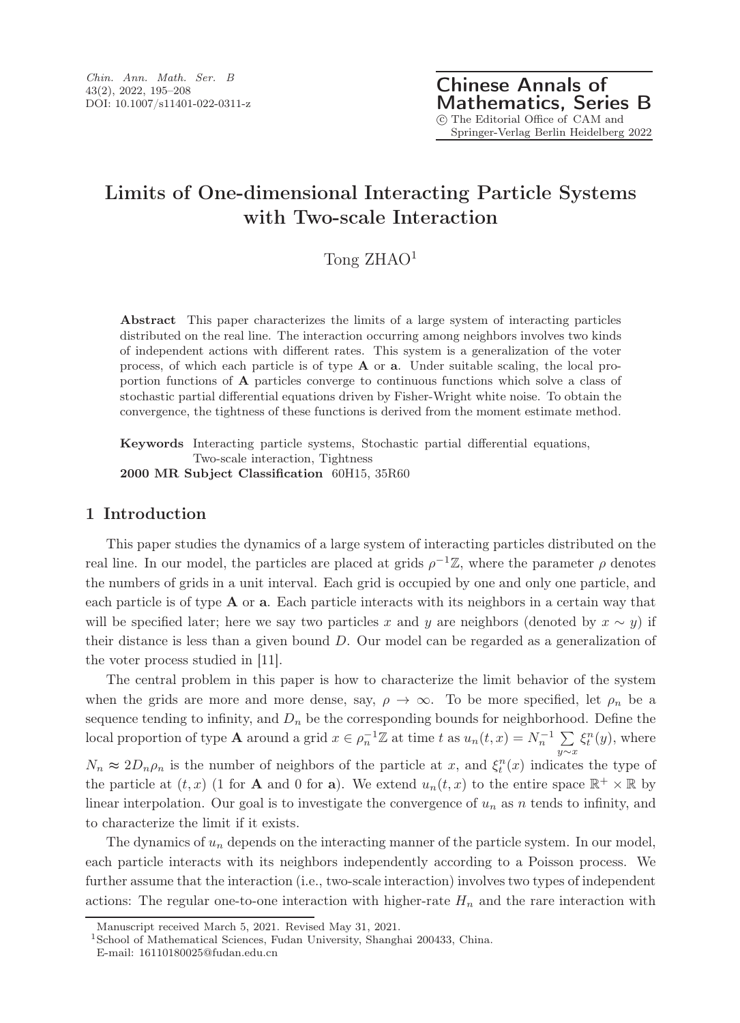# Limits of One-dimensional Interacting Particle Systems with Two-scale Interaction

Tong ZHAO<sup>1</sup>

Abstract This paper characterizes the limits of a large system of interacting particles distributed on the real line. The interaction occurring among neighbors involves two kinds of independent actions with different rates. This system is a generalization of the voter process, of which each particle is of type A or a. Under suitable scaling, the local proportion functions of A particles converge to continuous functions which solve a class of stochastic partial differential equations driven by Fisher-Wright white noise. To obtain the convergence, the tightness of these functions is derived from the moment estimate method.

Keywords Interacting particle systems, Stochastic partial differential equations, Two-scale interaction, Tightness 2000 MR Subject Classification 60H15, 35R60

# 1 Introduction

This paper studies the dynamics of a large system of interacting particles distributed on the real line. In our model, the particles are placed at grids  $\rho^{-1}\mathbb{Z}$ , where the parameter  $\rho$  denotes the numbers of grids in a unit interval. Each grid is occupied by one and only one particle, and each particle is of type  $A$  or  $a$ . Each particle interacts with its neighbors in a certain way that will be specified later; here we say two particles x and y are neighbors (denoted by  $x \sim y$ ) if their distance is less than a given bound  $D$ . Our model can be regarded as a generalization of the voter process studied in [11].

The central problem in this paper is how to characterize the limit behavior of the system when the grids are more and more dense, say,  $\rho \to \infty$ . To be more specified, let  $\rho_n$  be a sequence tending to infinity, and  $D_n$  be the corresponding bounds for neighborhood. Define the local proportion of type **A** around a grid  $x \in \rho_n^{-1} \mathbb{Z}$  at time t as  $u_n(t, x) = N_n^{-1} \sum$  $\sum_{y \sim x} \xi_t^n(y)$ , where  $N_n \approx 2D_n \rho_n$  is the number of neighbors of the particle at x, and  $\xi_t^n(x)$  indicates the type of the particle at  $(t, x)$  (1 for **A** and 0 for **a**). We extend  $u_n(t, x)$  to the entire space  $\mathbb{R}^+ \times \mathbb{R}$  by linear interpolation. Our goal is to investigate the convergence of  $u_n$  as n tends to infinity, and to characterize the limit if it exists.

The dynamics of  $u_n$  depends on the interacting manner of the particle system. In our model, each particle interacts with its neighbors independently according to a Poisson process. We further assume that the interaction (i.e., two-scale interaction) involves two types of independent actions: The regular one-to-one interaction with higher-rate  $H_n$  and the rare interaction with

Manuscript received March 5, 2021. Revised May 31, 2021.

<sup>1</sup>School of Mathematical Sciences, Fudan University, Shanghai 200433, China.

E-mail: 16110180025@fudan.edu.cn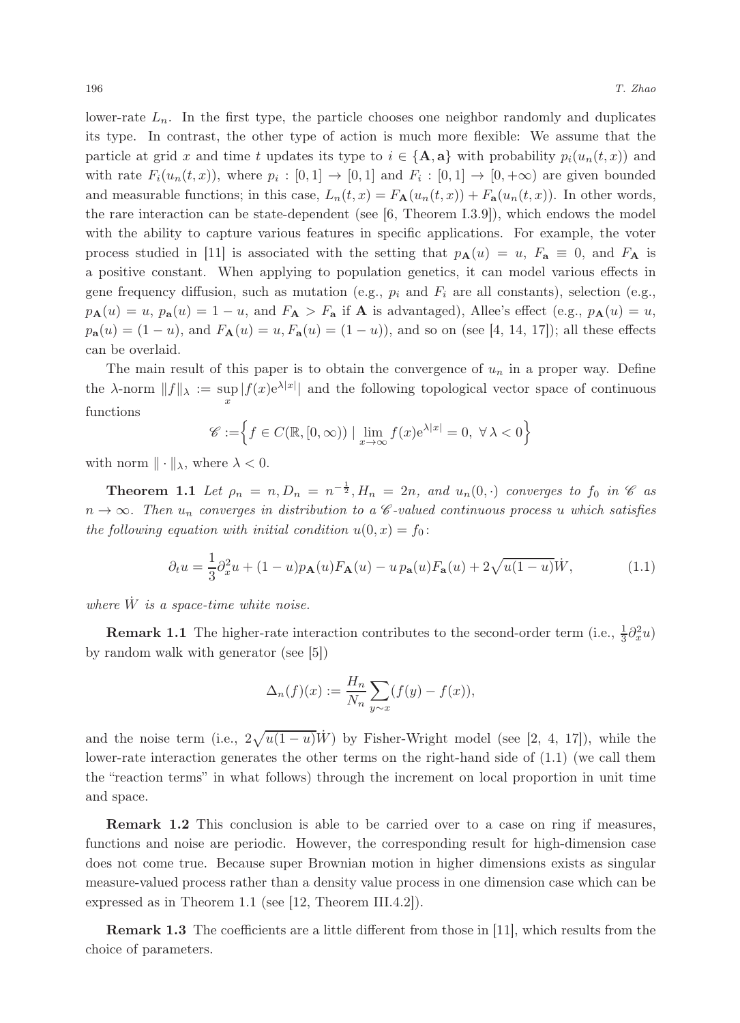lower-rate  $L_n$ . In the first type, the particle chooses one neighbor randomly and duplicates its type. In contrast, the other type of action is much more flexible: We assume that the particle at grid x and time t updates its type to  $i \in {\bf{A}, a}$  with probability  $p_i(u_n(t, x))$  and with rate  $F_i(u_n(t,x))$ , where  $p_i: [0,1] \to [0,1]$  and  $F_i: [0,1] \to [0,+\infty)$  are given bounded and measurable functions; in this case,  $L_n(t, x) = F_{\mathbf{A}}(u_n(t, x)) + F_{\mathbf{a}}(u_n(t, x))$ . In other words, the rare interaction can be state-dependent (see  $[6,$  Theorem I.3.9]), which endows the model with the ability to capture various features in specific applications. For example, the voter process studied in [11] is associated with the setting that  $p_{\mathbf{A}}(u) = u$ ,  $F_{\mathbf{a}} \equiv 0$ , and  $F_{\mathbf{A}}$  is a positive constant. When applying to population genetics, it can model various effects in gene frequency diffusion, such as mutation (e.g.,  $p_i$  and  $F_i$  are all constants), selection (e.g.,  $p_{\mathbf{A}}(u) = u$ ,  $p_{\mathbf{a}}(u) = 1 - u$ , and  $F_{\mathbf{A}} > F_{\mathbf{a}}$  if  $\mathbf{A}$  is advantaged), Allee's effect (e.g.,  $p_{\mathbf{A}}(u) = u$ ,  $p_{\bf a}(u) = (1-u)$ , and  $F_{\bf A}(u) = u, F_{\bf a}(u) = (1-u)$ , and so on (see [4, 14, 17]); all these effects can be overlaid.

The main result of this paper is to obtain the convergence of  $u_n$  in a proper way. Define the  $\lambda$ -norm  $||f||_{\lambda} := \sup |f(x)e^{\lambda|x|}||$  and the following topological vector space of continuous x functions

$$
\mathscr{C} := \left\{ f \in C(\mathbb{R}, [0, \infty)) \mid \lim_{x \to \infty} f(x) e^{\lambda |x|} = 0, \ \forall \lambda < 0 \right\}
$$

with norm  $\|\cdot\|_{\lambda}$ , where  $\lambda < 0$ .

**Theorem 1.1** Let  $\rho_n = n, D_n = n^{-\frac{1}{2}}, H_n = 2n$ , and  $u_n(0, \cdot)$  converges to  $f_0$  in  $\mathscr C$  as  $n \to \infty$ . Then  $u_n$  converges in distribution to a C-valued continuous process u which satisfies the following equation with initial condition  $u(0, x) = f_0$ :

$$
\partial_t u = \frac{1}{3} \partial_x^2 u + (1 - u) p_{\mathbf{A}}(u) F_{\mathbf{A}}(u) - u p_{\mathbf{a}}(u) F_{\mathbf{a}}(u) + 2 \sqrt{u(1 - u)} \dot{W}, \tag{1.1}
$$

where  $\dot{W}$  is a space-time white noise.

**Remark 1.1** The higher-rate interaction contributes to the second-order term (i.e.,  $\frac{1}{3}\partial_x^2 u$ ) by random walk with generator (see [5])

$$
\Delta_n(f)(x) := \frac{H_n}{N_n} \sum_{y \sim x} (f(y) - f(x)),
$$

and the noise term (i.e.,  $2\sqrt{u(1-u)}\dot{W}$ ) by Fisher-Wright model (see [2, 4, 17]), while the lower-rate interaction generates the other terms on the right-hand side of (1.1) (we call them the "reaction terms" in what follows) through the increment on local proportion in unit time and space.

Remark 1.2 This conclusion is able to be carried over to a case on ring if measures, functions and noise are periodic. However, the corresponding result for high-dimension case does not come true. Because super Brownian motion in higher dimensions exists as singular measure-valued process rather than a density value process in one dimension case which can be expressed as in Theorem 1.1 (see [12, Theorem III.4.2]).

Remark 1.3 The coefficients are a little different from those in [11], which results from the choice of parameters.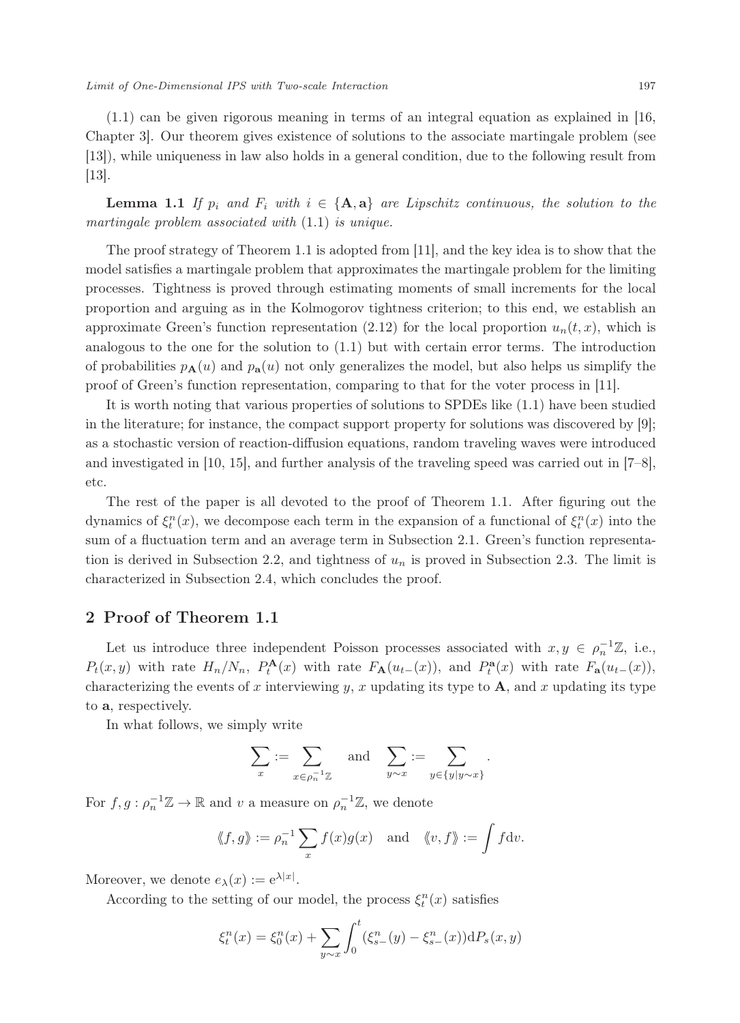(1.1) can be given rigorous meaning in terms of an integral equation as explained in [16, Chapter 3]. Our theorem gives existence of solutions to the associate martingale problem (see [13]), while uniqueness in law also holds in a general condition, due to the following result from  $|13|$ .

**Lemma 1.1** If  $p_i$  and  $F_i$  with  $i \in \{A, a\}$  are Lipschitz continuous, the solution to the martingale problem associated with (1.1) is unique.

The proof strategy of Theorem 1.1 is adopted from [11], and the key idea is to show that the model satisfies a martingale problem that approximates the martingale problem for the limiting processes. Tightness is proved through estimating moments of small increments for the local proportion and arguing as in the Kolmogorov tightness criterion; to this end, we establish an approximate Green's function representation (2.12) for the local proportion  $u_n(t, x)$ , which is analogous to the one for the solution to (1.1) but with certain error terms. The introduction of probabilities  $p_{\bf A}(u)$  and  $p_{\bf a}(u)$  not only generalizes the model, but also helps us simplify the proof of Green's function representation, comparing to that for the voter process in [11].

It is worth noting that various properties of solutions to SPDEs like (1.1) have been studied in the literature; for instance, the compact support property for solutions was discovered by [9]; as a stochastic version of reaction-diffusion equations, random traveling waves were introduced and investigated in [10, 15], and further analysis of the traveling speed was carried out in [7–8], etc.

The rest of the paper is all devoted to the proof of Theorem 1.1. After figuring out the dynamics of  $\xi_t^n(x)$ , we decompose each term in the expansion of a functional of  $\xi_t^n(x)$  into the sum of a fluctuation term and an average term in Subsection 2.1. Green's function representation is derived in Subsection 2.2, and tightness of  $u_n$  is proved in Subsection 2.3. The limit is characterized in Subsection 2.4, which concludes the proof.

#### 2 Proof of Theorem 1.1

Let us introduce three independent Poisson processes associated with  $x, y \in \rho_n^{-1}\mathbb{Z}$ , i.e.,  $P_t(x,y)$  with rate  $H_n/N_n$ ,  $P_t^{\mathbf{A}}(x)$  with rate  $F_{\mathbf{A}}(u_{t-}(x))$ , and  $P_t^{\mathbf{a}}(x)$  with rate  $F_{\mathbf{a}}(u_{t-}(x))$ , characterizing the events of x interviewing y, x updating its type to  $A$ , and x updating its type to a, respectively.

In what follows, we simply write

$$
\sum_x := \sum_{x\in\rho_n^{-1}\mathbb{Z}} \quad \text{and} \quad \sum_{y\sim x} := \sum_{y\in\{y|y\sim x\}}.
$$

For  $f, g: \rho_n^{-1} \mathbb{Z} \to \mathbb{R}$  and v a measure on  $\rho_n^{-1} \mathbb{Z}$ , we denote

$$
\langle\!\langle f, g \rangle\!\rangle := \rho_n^{-1} \sum_x f(x) g(x) \quad \text{and} \quad \langle\!\langle v, f \rangle\!\rangle := \int f \, \mathrm{d} v.
$$

Moreover, we denote  $e_{\lambda}(x) := e^{\lambda |x|}$ .

According to the setting of our model, the process  $\xi_t^n(x)$  satisfies

$$
\xi_t^n(x) = \xi_0^n(x) + \sum_{y \sim x} \int_0^t (\xi_{s-}^n(y) - \xi_{s-}^n(x)) \mathrm{d}P_s(x, y)
$$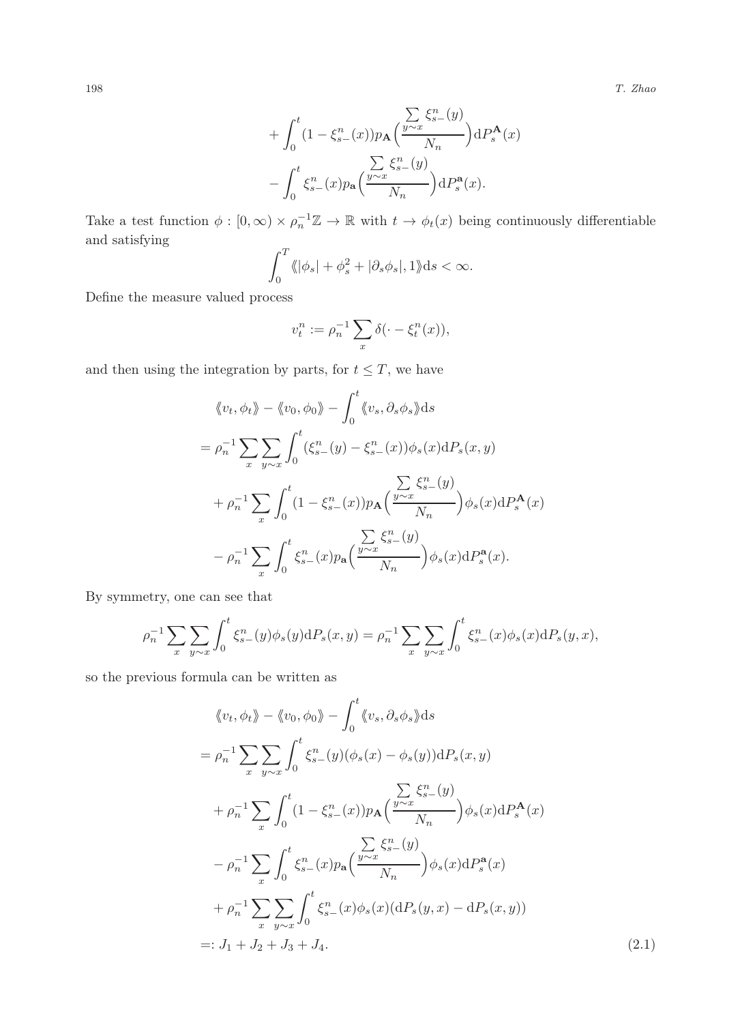198 T. Zhao

$$
+ \int_0^t (1 - \xi_{s-}^n(x)) p_{\mathbf{A}} \left( \frac{\sum\limits_{y \sim x} \xi_{s-}^n(y)}{N_n} \right) dP_s^{\mathbf{A}}(x) - \int_0^t \xi_{s-}^n(x) p_{\mathbf{a}} \left( \frac{\sum\limits_{y \sim x} \xi_{s-}^n(y)}{N_n} \right) dP_s^{\mathbf{a}}(x).
$$

Take a test function  $\phi : [0, \infty) \times \rho_n^{-1} \mathbb{Z} \to \mathbb{R}$  with  $t \to \phi_t(x)$  being continuously differentiable and satisfying

$$
\int_0^T \langle \|\phi_s| + \phi_s^2 + |\partial_s \phi_s|, 1 \rangle \mathrm{d}s < \infty.
$$

Define the measure valued process

$$
v_t^n := \rho_n^{-1} \sum_x \delta(\cdot - \xi_t^n(x)),
$$

and then using the integration by parts, for  $t \leq T$ , we have

$$
\langle v_t, \phi_t \rangle - \langle v_0, \phi_0 \rangle - \int_0^t \langle v_s, \partial_s \phi_s \rangle ds
$$
  
=  $\rho_n^{-1} \sum_x \sum_{y \sim x} \int_0^t (\xi_{s-}^n(y) - \xi_{s-}^n(x)) \phi_s(x) dP_s(x, y)$   
+  $\rho_n^{-1} \sum_x \int_0^t (1 - \xi_{s-}^n(x)) p_A \left( \frac{y \sim x}{N_n} \right) \phi_s(x) dP_s^A(x)$   
-  $\rho_n^{-1} \sum_x \int_0^t \xi_{s-}^n(x) p_A \left( \frac{y \sim x}{N_n} \right) \phi_s(x) dP_s^A(x).$ 

By symmetry, one can see that

$$
\rho_n^{-1} \sum_x \sum_{y \sim x} \int_0^t \xi_{s-}^n(y) \phi_s(y) dP_s(x, y) = \rho_n^{-1} \sum_x \sum_{y \sim x} \int_0^t \xi_{s-}^n(x) \phi_s(x) dP_s(y, x),
$$

so the previous formula can be written as

$$
\langle v_t, \phi_t \rangle - \langle v_0, \phi_0 \rangle - \int_0^t \langle v_s, \partial_s \phi_s \rangle ds
$$
  
\n
$$
= \rho_n^{-1} \sum_x \sum_{y \sim x} \int_0^t \xi_{s-}^n(y) (\phi_s(x) - \phi_s(y)) dP_s(x, y)
$$
  
\n
$$
+ \rho_n^{-1} \sum_x \int_0^t (1 - \xi_{s-}^n(x)) p_{\mathbf{A}} \left( \frac{\sum_{y \sim x} \xi_{s-}^n(y)}{N_n} \right) \phi_s(x) dP_s^{\mathbf{A}}(x)
$$
  
\n
$$
- \rho_n^{-1} \sum_x \int_0^t \xi_{s-}^n(x) p_{\mathbf{a}} \left( \frac{\sum_{y \sim x} \xi_{s-}^n(y)}{N_n} \right) \phi_s(x) dP_s^{\mathbf{a}}(x)
$$
  
\n
$$
+ \rho_n^{-1} \sum_x \sum_{y \sim x} \int_0^t \xi_{s-}^n(x) \phi_s(x) (dP_s(y, x) - dP_s(x, y))
$$
  
\n
$$
=: J_1 + J_2 + J_3 + J_4. \tag{2.1}
$$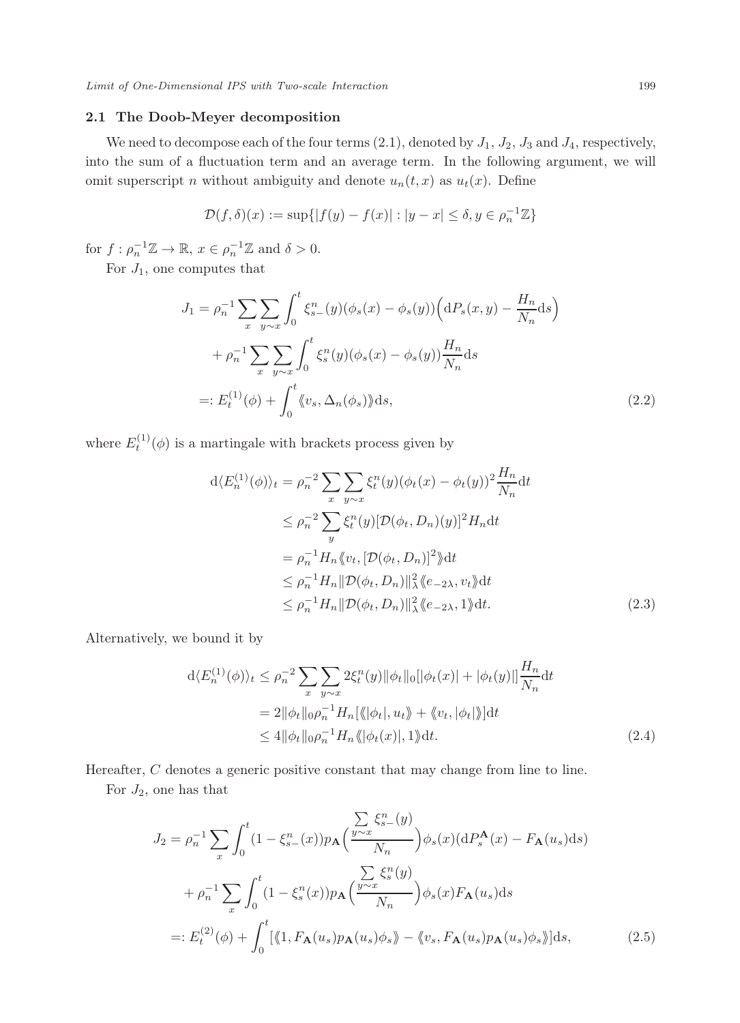### 2.1 The Doob-Meyer decomposition

We need to decompose each of the four terms  $(2.1)$ , denoted by  $J_1$ ,  $J_2$ ,  $J_3$  and  $J_4$ , respectively, into the sum of a fluctuation term and an average term. In the following argument, we will omit superscript *n* without ambiguity and denote  $u_n(t, x)$  as  $u_t(x)$ . Define

$$
\mathcal{D}(f,\delta)(x) := \sup\{|f(y) - f(x)| : |y - x| \le \delta, y \in \rho_n^{-1}\mathbb{Z}\}\
$$

for  $f: \rho_n^{-1} \mathbb{Z} \to \mathbb{R}, x \in \rho_n^{-1} \mathbb{Z}$  and  $\delta > 0$ .

For  $J_1$ , one computes that

$$
J_1 = \rho_n^{-1} \sum_x \sum_{y \sim x} \int_0^t \xi_{s-}^n(y) (\phi_s(x) - \phi_s(y)) \Big( dP_s(x, y) - \frac{H_n}{N_n} ds \Big) + \rho_n^{-1} \sum_x \sum_{y \sim x} \int_0^t \xi_s^n(y) (\phi_s(x) - \phi_s(y)) \frac{H_n}{N_n} ds =: E_t^{(1)}(\phi) + \int_0^t \langle v_s, \Delta_n(\phi_s) \rangle ds,
$$
 (2.2)

where  $E_t^{(1)}(\phi)$  is a martingale with brackets process given by

$$
d\langle E_n^{(1)}(\phi)\rangle_t = \rho_n^{-2} \sum_x \sum_{y \sim x} \xi_t^n(y) (\phi_t(x) - \phi_t(y))^2 \frac{H_n}{N_n} dt
$$
  
\n
$$
\leq \rho_n^{-2} \sum_y \xi_t^n(y) [\mathcal{D}(\phi_t, D_n)(y)]^2 H_n dt
$$
  
\n
$$
= \rho_n^{-1} H_n \langle v_t, [\mathcal{D}(\phi_t, D_n)]^2 \rangle dt
$$
  
\n
$$
\leq \rho_n^{-1} H_n ||\mathcal{D}(\phi_t, D_n)||_\lambda^2 \langle e_{-2\lambda}, v_t \rangle dt
$$
  
\n
$$
\leq \rho_n^{-1} H_n ||\mathcal{D}(\phi_t, D_n)||_\lambda^2 \langle e_{-2\lambda}, 1 \rangle dt.
$$
 (2.3)

Alternatively, we bound it by

$$
d\langle E_n^{(1)}(\phi)\rangle_t \le \rho_n^{-2} \sum_x \sum_{y \sim x} 2\xi_t^n(y) \|\phi_t\|_0 [\|\phi_t(x)\| + \|\phi_t(y)\|] \frac{H_n}{N_n} dt
$$
  
=  $2 \|\phi_t\|_0 \rho_n^{-1} H_n[\langle \|\phi_t\|, u_t \rangle + \langle \psi_t, |\phi_t| \rangle] dt$   
 $\le 4 \|\phi_t\|_0 \rho_n^{-1} H_n \langle \|\phi_t(x)\|, 1 \rangle dt.$  (2.4)

Hereafter, C denotes a generic positive constant that may change from line to line.

For  $J_2$ , one has that

$$
J_2 = \rho_n^{-1} \sum_x \int_0^t (1 - \xi_{s-}^n(x)) p_{\mathbf{A}} \left( \frac{\sum_{y \sim x} \xi_{s-}^n(y)}{N_n} \right) \phi_s(x) (\mathrm{d}P_s^{\mathbf{A}}(x) - F_{\mathbf{A}}(u_s) \mathrm{d}s)
$$
  
+ 
$$
\rho_n^{-1} \sum_x \int_0^t (1 - \xi_s^n(x)) p_{\mathbf{A}} \left( \frac{\sum_{y \sim x} \xi_s^n(y)}{N_n} \right) \phi_s(x) F_{\mathbf{A}}(u_s) \mathrm{d}s
$$
  
=: 
$$
E_t^{(2)}(\phi) + \int_0^t [\langle 1, F_{\mathbf{A}}(u_s) p_{\mathbf{A}}(u_s) \phi_s \rangle - \langle v_s, F_{\mathbf{A}}(u_s) p_{\mathbf{A}}(u_s) \phi_s \rangle] \mathrm{d}s,
$$
(2.5)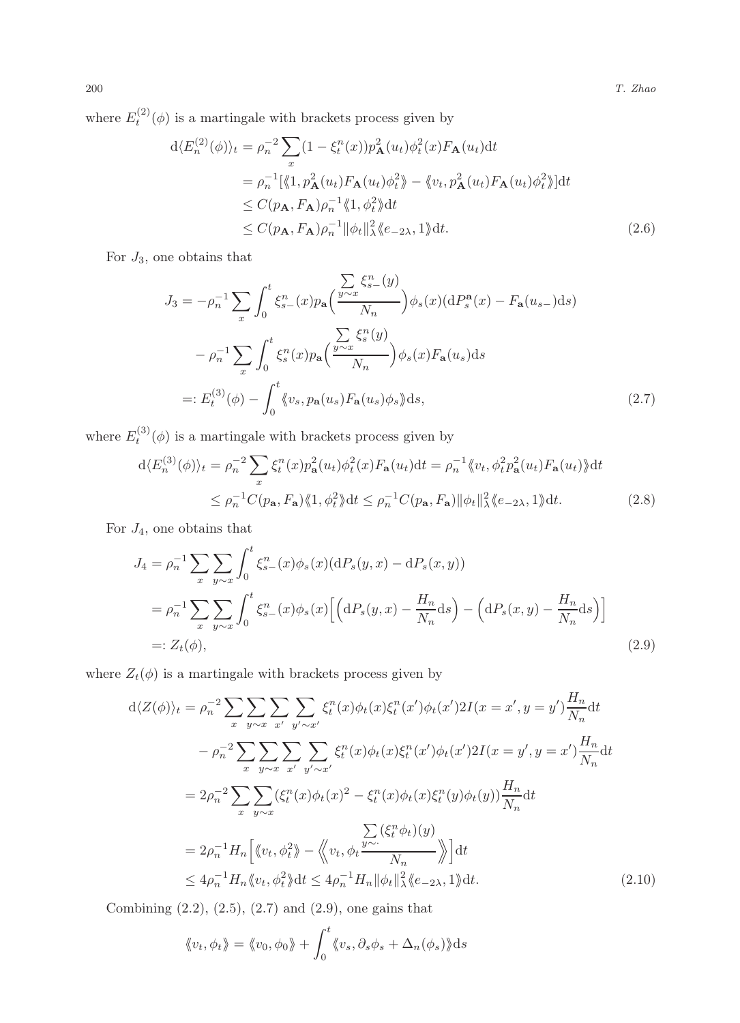where  $E_t^{(2)}(\phi)$  is a martingale with brackets process given by

$$
d\langle E_n^{(2)}(\phi)\rangle_t = \rho_n^{-2} \sum_x (1 - \xi_t^n(x))p_{\mathbf{A}}^2(u_t)\phi_t^2(x)F_{\mathbf{A}}(u_t)dt
$$
  
\n
$$
= \rho_n^{-1} [\langle 1, p_{\mathbf{A}}^2(u_t)F_{\mathbf{A}}(u_t)\phi_t^2 \rangle - \langle v_t, p_{\mathbf{A}}^2(u_t)F_{\mathbf{A}}(u_t)\phi_t^2 \rangle]dt
$$
  
\n
$$
\leq C(p_{\mathbf{A}}, F_{\mathbf{A}})\rho_n^{-1} \langle 1, \phi_t^2 \rangle dt
$$
  
\n
$$
\leq C(p_{\mathbf{A}}, F_{\mathbf{A}})\rho_n^{-1} ||\phi_t||_{\lambda}^2 \langle e_{-2\lambda}, 1 \rangle dt.
$$
 (2.6)

For  $J_3$ , one obtains that

$$
J_3 = -\rho_n^{-1} \sum_x \int_0^t \xi_{s-}^n(x) p_{\mathbf{a}} \left( \frac{\sum\limits_{y \sim x} \xi_{s-}^n(y)}{N_n} \right) \phi_s(x) (\mathrm{d}P_s^{\mathbf{a}}(x) - F_{\mathbf{a}}(u_{s-}) \mathrm{d}s)
$$

$$
- \rho_n^{-1} \sum_x \int_0^t \xi_s^n(x) p_{\mathbf{a}} \left( \frac{\sum\limits_{y \sim x} \xi_s^n(y)}{N_n} \right) \phi_s(x) F_{\mathbf{a}}(u_s) \mathrm{d}s
$$

$$
=: E_t^{(3)}(\phi) - \int_0^t \langle\!\langle v_s, p_{\mathbf{a}}(u_s) F_{\mathbf{a}}(u_s) \phi_s \rangle\!\langle \mathrm{d}s, \tag{2.7}
$$

where  $E_t^{(3)}(\phi)$  is a martingale with brackets process given by

$$
d\langle E_n^{(3)}(\phi)\rangle_t = \rho_n^{-2} \sum_x \xi_t^n(x) p_\mathbf{a}^2(u_t) \phi_t^2(x) F_\mathbf{a}(u_t) dt = \rho_n^{-1} \langle\!\langle v_t, \phi_t^2 p_\mathbf{a}^2(u_t) F_\mathbf{a}(u_t) \rangle\!\rangle dt
$$
  

$$
\leq \rho_n^{-1} C(p_\mathbf{a}, F_\mathbf{a}) \langle\!\langle 1, \phi_t^2 \rangle\!\rangle dt \leq \rho_n^{-1} C(p_\mathbf{a}, F_\mathbf{a}) ||\phi_t||_\lambda^2 \langle\!\langle e_{-2\lambda}, 1 \rangle\!\rangle dt.
$$
 (2.8)

For  $J_4$ , one obtains that

$$
J_4 = \rho_n^{-1} \sum_x \sum_{y \sim x} \int_0^t \xi_{s-}^n(x) \phi_s(x) (\mathrm{d}P_s(y, x) - \mathrm{d}P_s(x, y))
$$
  
=  $\rho_n^{-1} \sum_x \sum_{y \sim x} \int_0^t \xi_{s-}^n(x) \phi_s(x) \Big[ \Big( \mathrm{d}P_s(y, x) - \frac{H_n}{N_n} \mathrm{d}s \Big) - \Big( \mathrm{d}P_s(x, y) - \frac{H_n}{N_n} \mathrm{d}s \Big) \Big]$   
=:  $Z_t(\phi)$ , (2.9)

where  $Z_t(\phi)$  is a martingale with brackets process given by

$$
d\langle Z(\phi)\rangle_t = \rho_n^{-2} \sum_{x} \sum_{y\sim x} \sum_{x'} \sum_{y'\sim x'} \xi_t^n(x) \phi_t(x) \xi_t^n(x') \phi_t(x') 2I(x = x', y = y') \frac{H_n}{N_n} dt
$$
  

$$
- \rho_n^{-2} \sum_{x} \sum_{y\sim x} \sum_{x'} \sum_{y'\sim x'} \xi_t^n(x) \phi_t(x) \xi_t^n(x') \phi_t(x') 2I(x = y', y = x') \frac{H_n}{N_n} dt
$$
  

$$
= 2\rho_n^{-2} \sum_{x} \sum_{y\sim x} (\xi_t^n(x) \phi_t(x)^2 - \xi_t^n(x) \phi_t(x) \xi_t^n(y) \phi_t(y)) \frac{H_n}{N_n} dt
$$
  

$$
= 2\rho_n^{-1} H_n \left[ \langle v_t, \phi_t^2 \rangle - \langle v_t, \phi_t \frac{y\sim}{N_n} \rangle \right] dt
$$
  

$$
\leq 4\rho_n^{-1} H_n \langle v_t, \phi_t^2 \rangle dt \leq 4\rho_n^{-1} H_n \|\phi_t\|_{\lambda}^2 \langle e_{-2\lambda}, 1 \rangle dt.
$$
 (2.10)

Combining  $(2.2)$ ,  $(2.5)$ ,  $(2.7)$  and  $(2.9)$ , one gains that

$$
\langle v_t, \phi_t \rangle = \langle v_0, \phi_0 \rangle + \int_0^t \langle v_s, \partial_s \phi_s + \Delta_n(\phi_s) \rangle ds
$$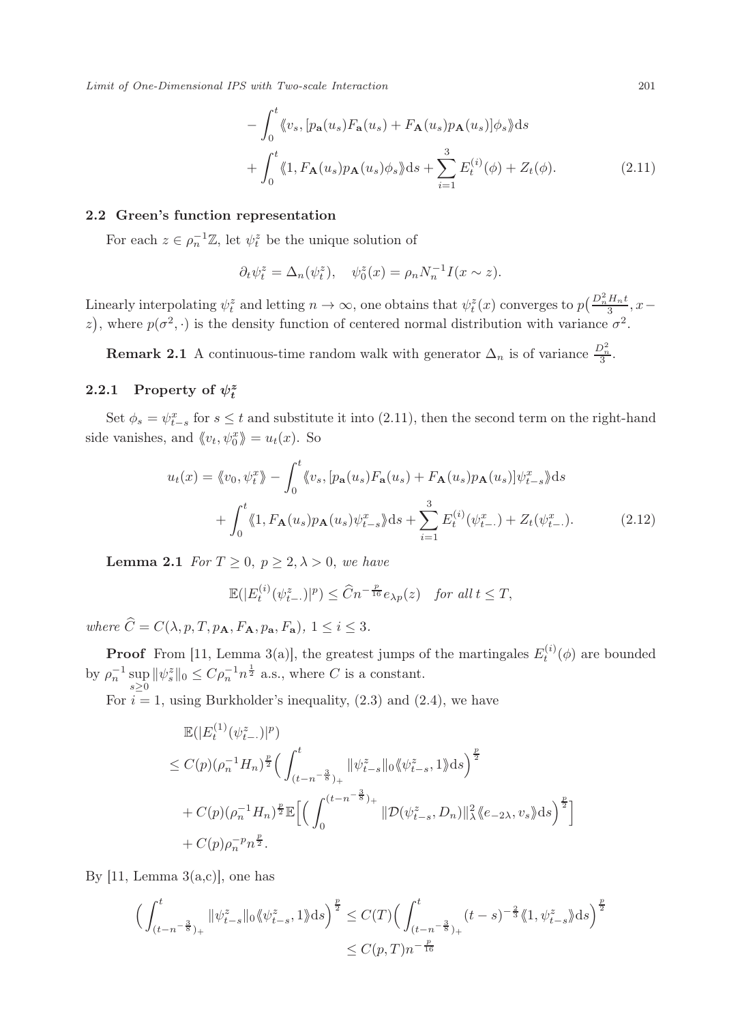Limit of One-Dimensional IPS with Two-scale Interaction 201

$$
-\int_0^t \langle v_s, [p_\mathbf{a}(u_s) F_\mathbf{a}(u_s) + F_\mathbf{A}(u_s) p_\mathbf{A}(u_s)] \phi_s \rangle ds
$$
  
+ 
$$
\int_0^t \langle 1, F_\mathbf{A}(u_s) p_\mathbf{A}(u_s) \phi_s \rangle ds + \sum_{i=1}^3 E_t^{(i)}(\phi) + Z_t(\phi).
$$
 (2.11)

#### 2.2 Green's function representation

For each  $z \in \rho_n^{-1} \mathbb{Z}$ , let  $\psi_i^z$  be the unique solution of

$$
\partial_t \psi_t^z = \Delta_n(\psi_t^z), \quad \psi_0^z(x) = \rho_n N_n^{-1} I(x \sim z).
$$

Linearly interpolating  $\psi_t^z$  and letting  $n \to \infty$ , one obtains that  $\psi_t^z(x)$  converges to  $p\left(\frac{D_n^2 H_n t}{3}, x-\right)$ z), where  $p(\sigma^2, \cdot)$  is the density function of centered normal distribution with variance  $\sigma^2$ .

**Remark 2.1** A continuous-time random walk with generator  $\Delta_n$  is of variance  $\frac{D_n^2}{3}$ .

# 2.2.1 Property of  $\psi_t^z$

Set  $\phi_s = \psi_{t-s}^x$  for  $s \le t$  and substitute it into (2.11), then the second term on the right-hand side vanishes, and  $\langle v_t, \psi_0^x \rangle = u_t(x)$ . So

$$
u_t(x) = \langle\!\langle v_0, \psi_t^x \rangle\!\rangle - \int_0^t \langle\!\langle v_s, [p_\mathbf{a}(u_s) F_\mathbf{a}(u_s) + F_\mathbf{A}(u_s) p_\mathbf{A}(u_s)] \psi_{t-s}^x \rangle\!\rangle ds + \int_0^t \langle\!\langle 1, F_\mathbf{A}(u_s) p_\mathbf{A}(u_s) \psi_{t-s}^x \rangle\!\rangle ds + \sum_{i=1}^3 E_t^{(i)}(\psi_{t-}^x) + Z_t(\psi_{t-}^x).
$$
 (2.12)

**Lemma 2.1** For  $T \geq 0$ ,  $p \geq 2, \lambda > 0$ , we have

$$
\mathbb{E}(|E_t^{(i)}(\psi_{t-}^z)|^p) \leq \widehat{C}n^{-\frac{p}{16}}e_{\lambda p}(z) \quad \text{for all } t \leq T,
$$

where  $\hat{C} = C(\lambda, p, T, p_{\mathbf{A}}, F_{\mathbf{A}}, p_{\mathbf{a}}, F_{\mathbf{a}}), 1 \leq i \leq 3.$ 

**Proof** From [11, Lemma 3(a)], the greatest jumps of the martingales  $E_t^{(i)}(\phi)$  are bounded by  $\rho_n^{-1} \sup_{s \ge 0} ||\psi_s^z||_0 \le C\rho_n^{-1} n^{\frac{1}{2}}$  a.s., where C is a constant.

For  $i = 1$ , using Burkholder's inequality,  $(2.3)$  and  $(2.4)$ , we have

$$
\mathbb{E}(|E_t^{(1)}(\psi_{t-}^z)|^p)
$$
\n
$$
\leq C(p)(\rho_n^{-1}H_n)^{\frac{p}{2}} \Big(\int_{(t-n^{-\frac{3}{8}})_+}^t ||\psi_{t-s}^z||_0 \langle \psi_{t-s}^z, 1 \rangle ds \Big)^{\frac{p}{2}}
$$
\n
$$
+ C(p)(\rho_n^{-1}H_n)^{\frac{p}{2}} \mathbb{E}\Big[\Big(\int_0^{(t-n^{-\frac{3}{8}})_+} ||\mathcal{D}(\psi_{t-s}^z, D_n)||_\lambda^2 \langle \langle e_{-2\lambda}, v_s \rangle ds \big)^{\frac{p}{2}}\Big]
$$
\n
$$
+ C(p)\rho_n^{-p}n^{\frac{p}{2}}.
$$

By [11, Lemma  $3(a,c)$ ], one has

$$
\left(\int_{(t-n^{-\frac{3}{8}})^{+}}^{t} \|\psi_{t-s}^{z}\|_{0} \langle \psi_{t-s}^{z}, 1 \rangle \mathrm{d}s\right)^{\frac{p}{2}} \leq C(T) \left(\int_{(t-n^{-\frac{3}{8}})^{+}}^{t} (t-s)^{-\frac{2}{3}} \langle 1, \psi_{t-s}^{z} \rangle \mathrm{d}s\right)^{\frac{p}{2}} \leq C(p, T)n^{-\frac{p}{16}}
$$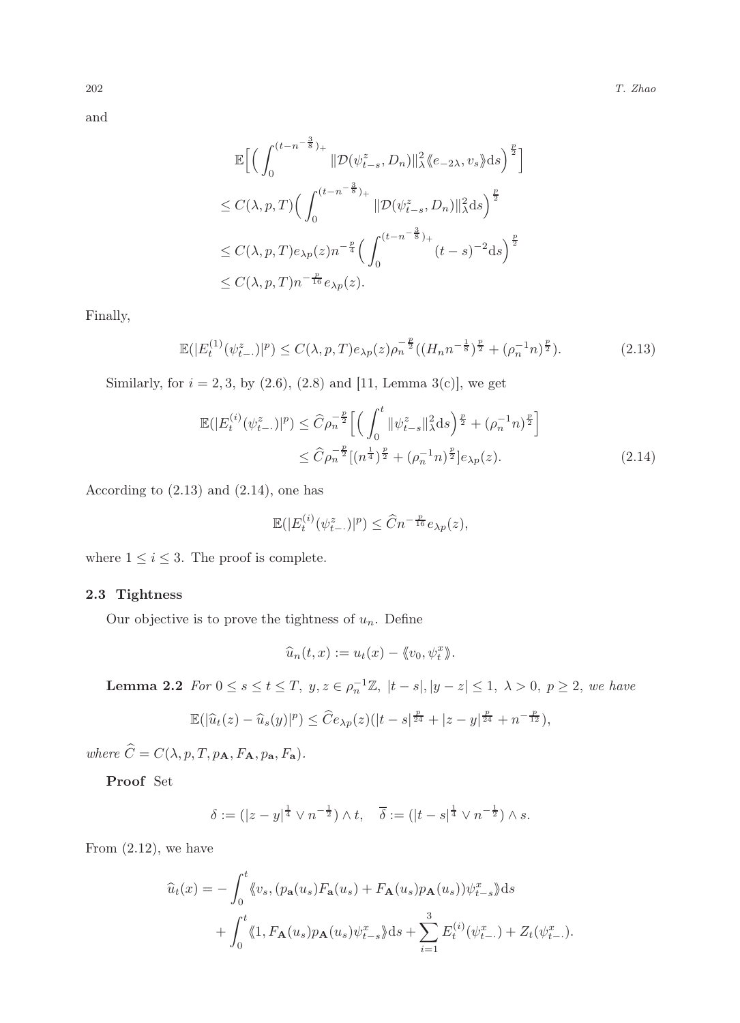and

$$
\mathbb{E}\Big[\Big(\int_0^{(t-n^{-\frac{3}{8}})_+}\|\mathcal{D}(\psi_{t-s}^z,D_n)\|_{\lambda}^2\langle e_{-2\lambda},v_s\rangle ds\Big)^{\frac{p}{2}}\Big]
$$
  
\n
$$
\leq C(\lambda,p,T)\Big(\int_0^{(t-n^{-\frac{3}{8}})_+}\|\mathcal{D}(\psi_{t-s}^z,D_n)\|_{\lambda}^2ds\Big)^{\frac{p}{2}}
$$
  
\n
$$
\leq C(\lambda,p,T)e_{\lambda p}(z)n^{-\frac{p}{4}}\Big(\int_0^{(t-n^{-\frac{3}{8}})_+}(t-s)^{-2}ds\Big)^{\frac{p}{2}}
$$
  
\n
$$
\leq C(\lambda,p,T)n^{-\frac{p}{16}}e_{\lambda p}(z).
$$

Finally,

$$
\mathbb{E}(|E_t^{(1)}(\psi_{t-}^z)|^p) \le C(\lambda, p, T)e_{\lambda p}(z)\rho_n^{-\frac{p}{2}}((H_n n^{-\frac{1}{8}})^{\frac{p}{2}} + (\rho_n^{-1}n)^{\frac{p}{2}}). \tag{2.13}
$$

Similarly, for  $i = 2, 3$ , by  $(2.6)$ ,  $(2.8)$  and [11, Lemma 3(c)], we get

$$
\mathbb{E}(|E_t^{(i)}(\psi_{t-}^z)|^p) \leq \widehat{C}\rho_n^{-\frac{p}{2}} \left[ \left( \int_0^t \|\psi_{t-s}^z\|_{\lambda}^2 ds \right)^{\frac{p}{2}} + (\rho_n^{-1}n)^{\frac{p}{2}} \right] \leq \widehat{C}\rho_n^{-\frac{p}{2}}[(n^{\frac{1}{4}})^{\frac{p}{2}} + (\rho_n^{-1}n)^{\frac{p}{2}}]e_{\lambda p}(z).
$$
\n(2.14)

According to  $(2.13)$  and  $(2.14)$ , one has

$$
\mathbb{E}(|E_t^{(i)}(\psi_{t-}^z)|^p) \leq \widehat{C} n^{-\frac{p}{16}} e_{\lambda p}(z),
$$

where  $1 \leq i \leq 3$ . The proof is complete.

## 2.3 Tightness

Our objective is to prove the tightness of  $u_n$ . Define

$$
\widehat{u}_n(t,x) := u_t(x) - \langle\!\langle v_0, \psi_t^x \rangle\!\rangle.
$$

**Lemma 2.2** For  $0 \le s \le t \le T$ ,  $y, z \in \rho_n^{-1} \mathbb{Z}$ ,  $|t - s|, |y - z| \le 1$ ,  $\lambda > 0$ ,  $p \ge 2$ , we have

$$
\mathbb{E}(|\widehat{u}_t(z) - \widehat{u}_s(y)|^p) \leq \widehat{C}e_{\lambda p}(z)(|t-s|^{\frac{p}{24}} + |z-y|^{\frac{p}{24}} + n^{-\frac{p}{12}}),
$$

where  $\widehat{C} = C(\lambda, p, T, p_{\mathbf{A}}, F_{\mathbf{A}}, p_{\mathbf{a}}, F_{\mathbf{a}}).$ 

Proof Set

$$
\delta := (|z - y|^{\frac{1}{4}} \vee n^{-\frac{1}{2}}) \wedge t, \quad \overline{\delta} := (|t - s|^{\frac{1}{4}} \vee n^{-\frac{1}{2}}) \wedge s.
$$

From (2.12), we have

$$
\widehat{u}_t(x) = -\int_0^t \langle v_s, (p_\mathbf{a}(u_s) F_\mathbf{a}(u_s) + F_\mathbf{A}(u_s) p_\mathbf{A}(u_s)) \psi_{t-s}^x \rangle ds
$$

$$
+ \int_0^t \langle 1, F_\mathbf{A}(u_s) p_\mathbf{A}(u_s) \psi_{t-s}^x \rangle ds + \sum_{i=1}^3 E_t^{(i)}(\psi_{t-}^x) + Z_t(\psi_{t-}^x).
$$

$$
^{202}
$$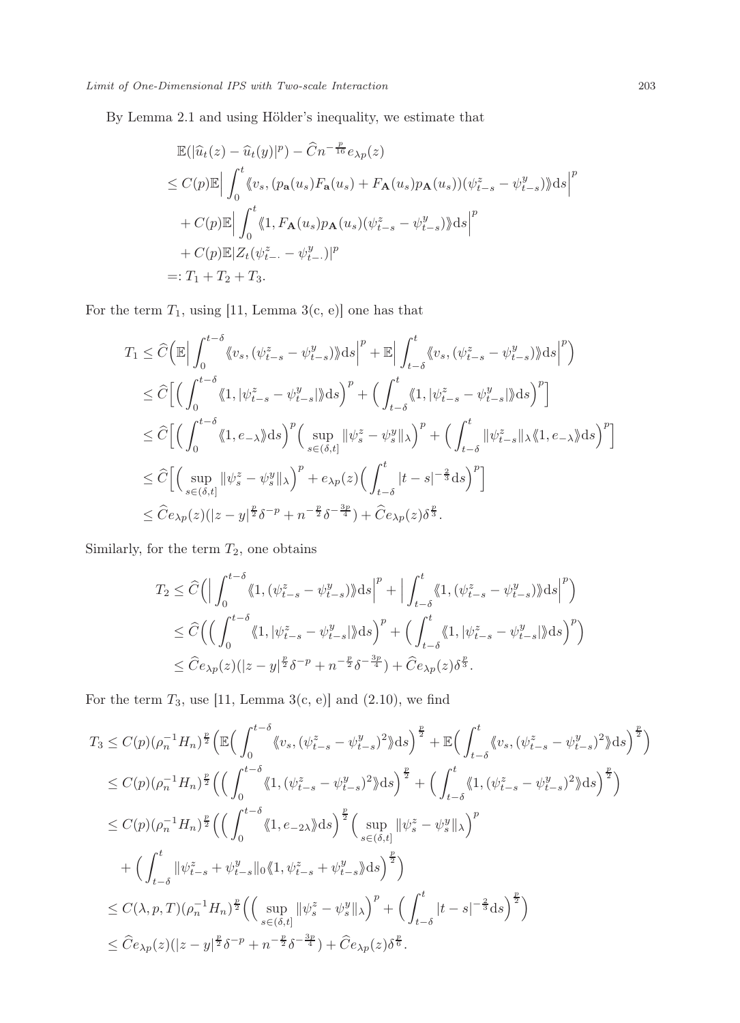By Lemma 2.1 and using Hölder's inequality, we estimate that

$$
\mathbb{E}(|\widehat{u}_t(z) - \widehat{u}_t(y)|^p) - \widehat{C}n^{-\frac{p}{16}}e_{\lambda p}(z)
$$
\n
$$
\leq C(p)\mathbb{E}\Big|\int_0^t \langle v_s, (p_\mathbf{a}(u_s)F_\mathbf{a}(u_s) + F_\mathbf{A}(u_s)p_\mathbf{A}(u_s))(\psi_{t-s}^z - \psi_{t-s}^y)\rangle ds\Big|^p
$$
\n
$$
+ C(p)\mathbb{E}\Big|\int_0^t \langle 1, F_\mathbf{A}(u_s)p_\mathbf{A}(u_s)(\psi_{t-s}^z - \psi_{t-s}^y)\rangle ds\Big|^p
$$
\n
$$
+ C(p)\mathbb{E}|Z_t(\psi_{t-}^z - \psi_{t-}^y)|^p
$$
\n
$$
=: T_1 + T_2 + T_3.
$$

For the term  $T_1$ , using [11, Lemma 3(c, e)] one has that

$$
T_1 \leq \widehat{C} \Big( \mathbb{E} \Big| \int_0^{t-\delta} \langle v_s, (\psi_{t-s}^z - \psi_{t-s}^y) \rangle \mathrm{d}s \Big|^p + \mathbb{E} \Big| \int_{t-\delta}^t \langle v_s, (\psi_{t-s}^z - \psi_{t-s}^y) \rangle \mathrm{d}s \Big|^p \Big)
$$
  
\n
$$
\leq \widehat{C} \Big[ \Big( \int_0^{t-\delta} \langle 1, |\psi_{t-s}^z - \psi_{t-s}^y| \rangle \mathrm{d}s \Big)^p + \Big( \int_{t-\delta}^t \langle 1, |\psi_{t-s}^z - \psi_{t-s}^y| \rangle \mathrm{d}s \Big)^p \Big]
$$
  
\n
$$
\leq \widehat{C} \Big[ \Big( \int_0^{t-\delta} \langle 1, e_{-\lambda} \rangle \mathrm{d}s \Big)^p \Big( \sup_{s \in (\delta, t]} ||\psi_s^z - \psi_s^y||_{\lambda} \Big)^p + \Big( \int_{t-\delta}^t ||\psi_{t-s}^z||_{\lambda} \langle 1, e_{-\lambda} \rangle \mathrm{d}s \Big)^p \Big]
$$
  
\n
$$
\leq \widehat{C} \Big[ \Big( \sup_{s \in (\delta, t]} ||\psi_s^z - \psi_s^y||_{\lambda} \Big)^p + e_{\lambda p}(z) \Big( \int_{t-\delta}^t |t-s|^{-\frac{2}{3}} \mathrm{d}s \Big)^p \Big]
$$
  
\n
$$
\leq \widehat{C} e_{\lambda p}(z) (|z - y|^{\frac{p}{2}} \delta^{-p} + n^{-\frac{p}{2}} \delta^{-\frac{3p}{4}}) + \widehat{C} e_{\lambda p}(z) \delta^{\frac{p}{3}}.
$$

Similarly, for the term  $T_2$ , one obtains

$$
T_2 \leq \widehat{C} \Big( \Big| \int_0^{t-\delta} \langle\!\!\langle 1, (\psi_{t-s}^z - \psi_{t-s}^y) \rangle \mathrm{d}s \Big|^p + \Big| \int_{t-\delta}^t \langle\!\!\langle 1, (\psi_{t-s}^z - \psi_{t-s}^y) \rangle \mathrm{d}s \Big|^p \Big) \n\leq \widehat{C} \Big( \Big( \int_0^{t-\delta} \langle\!\!\langle 1, |\psi_{t-s}^z - \psi_{t-s}^y| \rangle \mathrm{d}s \Big)^p + \Big( \int_{t-\delta}^t \langle\!\!\langle 1, |\psi_{t-s}^z - \psi_{t-s}^y| \rangle \mathrm{d}s \Big)^p \Big) \n\leq \widehat{C} e_{\lambda p}(z) (|z-y|^{\frac{p}{2}} \delta^{-p} + n^{-\frac{p}{2}} \delta^{-\frac{3p}{4}}) + \widehat{C} e_{\lambda p}(z) \delta^{\frac{p}{3}}.
$$

For the term  $T_3$ , use [11, Lemma 3(c, e)] and (2.10), we find

$$
T_3 \leq C(p)(\rho_n^{-1}H_n)^{\frac{p}{2}} \Big( \mathbb{E} \Big( \int_0^{t-\delta} \langle v_s, (\psi_{t-s}^z - \psi_{t-s}^y)^2 \rangle \mathrm{d}s \Big)^{\frac{p}{2}} + \mathbb{E} \Big( \int_{t-\delta}^t \langle v_s, (\psi_{t-s}^z - \psi_{t-s}^y)^2 \rangle \mathrm{d}s \Big)^{\frac{p}{2}} \Big)
$$
  
\n
$$
\leq C(p)(\rho_n^{-1}H_n)^{\frac{p}{2}} \Big( \Big( \int_0^{t-\delta} \langle 1, (\psi_{t-s}^z - \psi_{t-s}^y)^2 \rangle \mathrm{d}s \Big)^{\frac{p}{2}} + \Big( \int_{t-\delta}^t \langle 1, (\psi_{t-s}^z - \psi_{t-s}^y)^2 \rangle \mathrm{d}s \Big)^{\frac{p}{2}} \Big)
$$
  
\n
$$
\leq C(p)(\rho_n^{-1}H_n)^{\frac{p}{2}} \Big( \Big( \int_0^{t-\delta} \langle 1, e_{-2\lambda} \rangle \mathrm{d}s \Big)^{\frac{p}{2}} \Big( \sup_{s \in (\delta, t]} ||\psi_s^z - \psi_s^y||_\lambda \Big)^p
$$
  
\n
$$
+ \Big( \int_{t-\delta}^t ||\psi_{t-s}^z + \psi_{t-s}^y||_0 \langle 1, \psi_{t-s}^z + \psi_{t-s}^y \rangle \mathrm{d}s \Big)^{\frac{p}{2}} \Big)
$$
  
\n
$$
\leq C(\lambda, p, T)(\rho_n^{-1}H_n)^{\frac{p}{2}} \Big( \Big( \sup_{s \in (\delta, t]} ||\psi_s^z - \psi_s^y||_\lambda \Big)^p + \Big( \int_{t-\delta}^t |t-s|^{-\frac{2}{3}} \mathrm{d}s \Big)^{\frac{p}{2}} \Big)
$$
  
\n
$$
\leq \widehat{C}e_{\lambda p}(z)(|z - y|^{\frac{p}{2}} \delta^{-p} + n^{-\frac{p}{2}} \delta^{-\frac{3p}{4}} \Big) + \widehat{C}e_{\lambda p}(z) \delta^{\frac{p}{6}}.
$$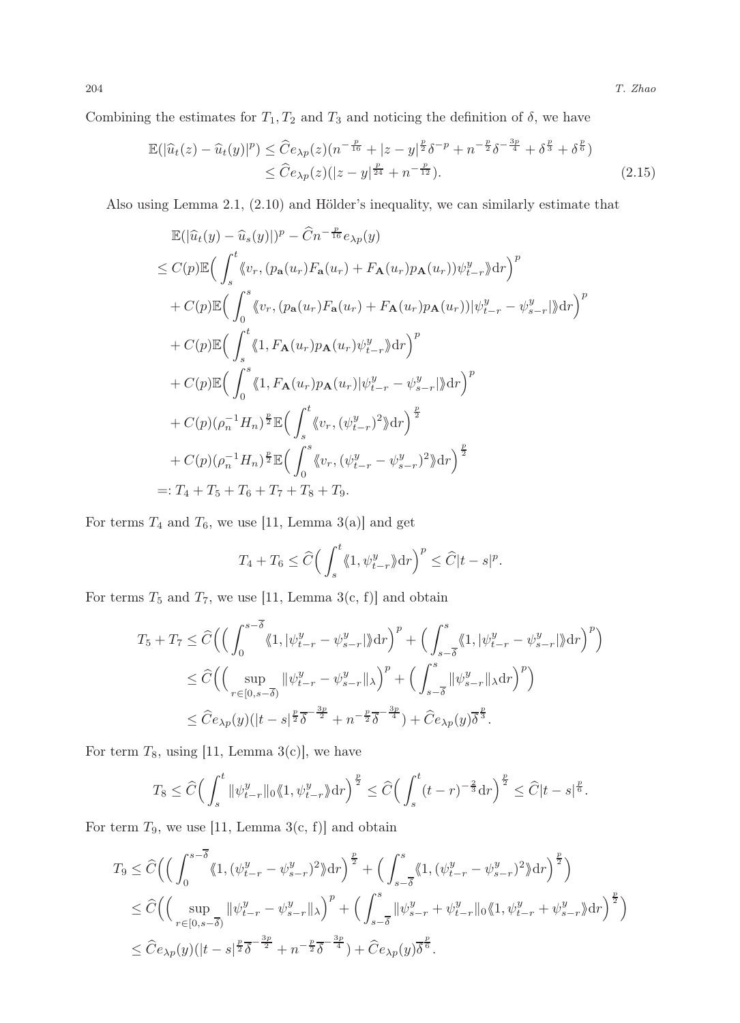Combining the estimates for  $T_1, T_2$  and  $T_3$  and noticing the definition of  $\delta$ , we have

$$
\mathbb{E}(|\widehat{u}_t(z) - \widehat{u}_t(y)|^p) \le \widehat{C}e_{\lambda p}(z)(n^{-\frac{p}{16}} + |z - y|^{\frac{p}{2}}\delta^{-p} + n^{-\frac{p}{2}}\delta^{-\frac{3p}{4}} + \delta^{\frac{p}{3}} + \delta^{\frac{p}{6}})
$$
  
 
$$
\le \widehat{C}e_{\lambda p}(z)(|z - y|^{\frac{p}{24}} + n^{-\frac{p}{12}}).
$$
 (2.15)

Also using Lemma 2.1, (2.10) and Hölder's inequality, we can similarly estimate that

$$
\mathbb{E}(|\hat{u}_t(y) - \hat{u}_s(y)|)^p - \hat{C}n^{-\frac{p}{16}}e_{\lambda p}(y)
$$
\n
$$
\leq C(p)\mathbb{E}\Big(\int_s^t \langle v_r, (p_\mathbf{a}(u_r)F_\mathbf{a}(u_r) + F_\mathbf{A}(u_r)p_\mathbf{A}(u_r))\psi_{t-r}^y\rangle dr\Big)^p
$$
\n
$$
+ C(p)\mathbb{E}\Big(\int_0^s \langle v_r, (p_\mathbf{a}(u_r)F_\mathbf{a}(u_r) + F_\mathbf{A}(u_r)p_\mathbf{A}(u_r))|\psi_{t-r}^y - \psi_{s-r}^y|\rangle dr\Big)^p
$$
\n
$$
+ C(p)\mathbb{E}\Big(\int_s^t \langle 1, F_\mathbf{A}(u_r)p_\mathbf{A}(u_r)\psi_{t-r}^y\rangle dr\Big)^p
$$
\n
$$
+ C(p)\mathbb{E}\Big(\int_0^s \langle 1, F_\mathbf{A}(u_r)p_\mathbf{A}(u_r)|\psi_{t-r}^y - \psi_{s-r}^y|\rangle dr\Big)^p
$$
\n
$$
+ C(p)(\rho_n^{-1}H_n)^{\frac{p}{2}}\mathbb{E}\Big(\int_s^t \langle v_r, (\psi_{t-r}^y)^2\rangle dr\Big)^{\frac{p}{2}}
$$
\n
$$
+ C(p)(\rho_n^{-1}H_n)^{\frac{p}{2}}\mathbb{E}\Big(\int_0^s \langle v_r, (\psi_{t-r}^y - \psi_{s-r}^y)^2\rangle dr\Big)^{\frac{p}{2}}
$$
\n
$$
=: T_4 + T_5 + T_6 + T_7 + T_8 + T_9.
$$

For terms  $T_4$  and  $T_6$ , we use [11, Lemma 3(a)] and get

$$
T_4 + T_6 \leq \widehat{C} \Big( \int_s^t \langle\!\langle 1, \psi_{t-r}^y \rangle\rangle \mathrm{d}r \Big)^p \leq \widehat{C} |t-s|^p.
$$

For terms  $T_5$  and  $T_7$ , we use [11, Lemma 3(c, f)] and obtain

$$
T_5 + T_7 \leq \widehat{C} \Big( \Big( \int_0^{s-\overline{\delta}} \langle 1, |\psi^y_{t-r} - \psi^y_{s-r}| \rangle dr \Big)^p + \Big( \int_{s-\overline{\delta}}^s \langle 1, |\psi^y_{t-r} - \psi^y_{s-r}| \rangle dr \Big)^p \Big) \leq \widehat{C} \Big( \Big( \sup_{r \in [0, s-\overline{\delta})} ||\psi^y_{t-r} - \psi^y_{s-r}||_{\lambda} \Big)^p + \Big( \int_{s-\overline{\delta}}^s ||\psi^y_{s-r}||_{\lambda} dr \Big)^p \Big) \leq \widehat{C} e_{\lambda p}(y) (|t-s|^{\frac{p}{2}} \overline{\delta}^{-\frac{3p}{2}} + n^{-\frac{p}{2}} \overline{\delta}^{-\frac{3p}{4}}) + \widehat{C} e_{\lambda p}(y) \overline{\delta}^{\frac{p}{3}}.
$$

For term  $T_8$ , using [11, Lemma 3(c)], we have

$$
T_8 \leq \widehat{C} \Big( \int_s^t \|\psi_{t-r}^y\|_0 \langle 1, \psi_{t-r}^y \rangle \mathrm{d}r \Big)^{\frac{p}{2}} \leq \widehat{C} \Big( \int_s^t (t-r)^{-\frac{2}{3}} \mathrm{d}r \Big)^{\frac{p}{2}} \leq \widehat{C} |t-s|^{\frac{p}{6}}.
$$

For term  $T_9$ , we use [11, Lemma 3(c, f)] and obtain

$$
T_9 \leq \widehat{C} \Big( \Big( \int_0^{s-\overline{\delta}} \langle 1, (\psi_{t-r}^y - \psi_{s-r}^y)^2 \rangle \, dr \Big)^{\frac{p}{2}} + \Big( \int_{s-\overline{\delta}}^s \langle 1, (\psi_{t-r}^y - \psi_{s-r}^y)^2 \rangle \, dr \Big)^{\frac{p}{2}} \Big) \n\leq \widehat{C} \Big( \Big( \sup_{r \in [0, s-\overline{\delta})} \|\psi_{t-r}^y - \psi_{s-r}^y\|_{\lambda} \Big)^p + \Big( \int_{s-\overline{\delta}}^s \|\psi_{s-r}^y + \psi_{t-r}^y\|_0 \langle 1, \psi_{t-r}^y + \psi_{s-r}^y \rangle \, dr \Big)^{\frac{p}{2}} \Big) \n\leq \widehat{C} e_{\lambda p}(y) \big( |t-s|^{\frac{p}{2}} \overline{\delta}^{-\frac{3p}{2}} + n^{-\frac{p}{2}} \overline{\delta}^{-\frac{3p}{4}} \big) + \widehat{C} e_{\lambda p}(y) \overline{\delta}^{\frac{p}{6}}.
$$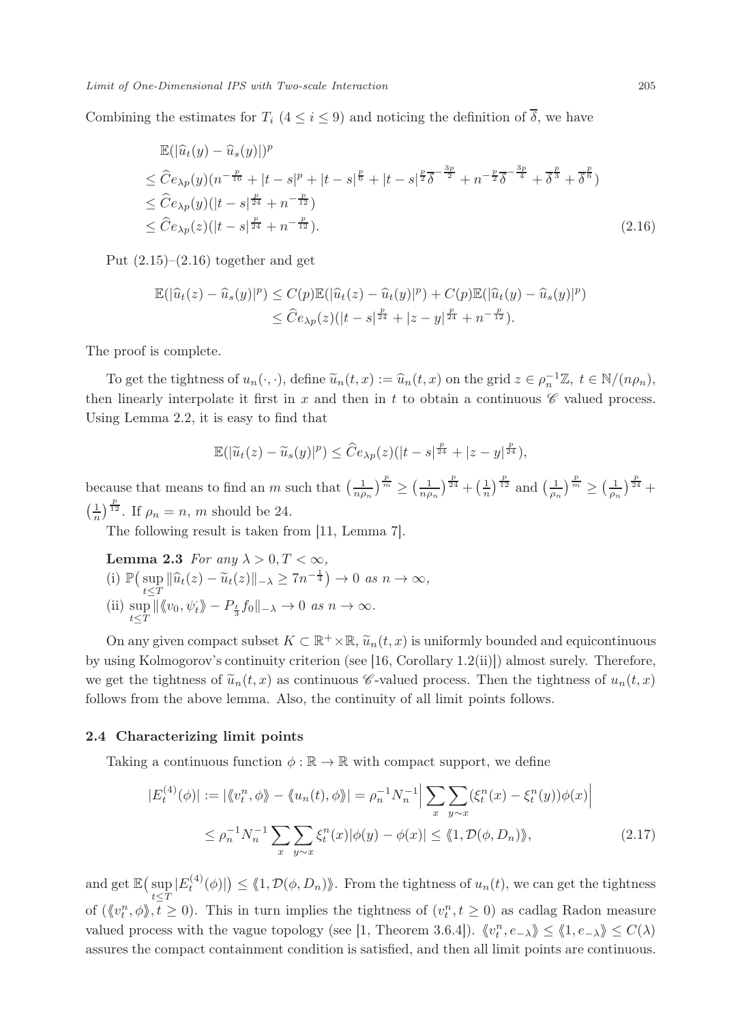Combining the estimates for  $T_i$   $(4 \leq i \leq 9)$  and noticing the definition of  $\overline{\delta}$ , we have

$$
\mathbb{E}(|\hat{u}_t(y) - \hat{u}_s(y)|)^p
$$
\n
$$
\leq \hat{C}e_{\lambda p}(y)(n^{-\frac{p}{16}} + |t - s|^p + |t - s|^{\frac{p}{6}} + |t - s|^{\frac{p}{2}}\overline{\delta}^{-\frac{3p}{2}} + n^{-\frac{p}{2}}\overline{\delta}^{-\frac{3p}{4}} + \overline{\delta}^{\frac{p}{3}} + \overline{\delta}^{\frac{p}{6}})
$$
\n
$$
\leq \hat{C}e_{\lambda p}(y)(|t - s|^{\frac{p}{24}} + n^{-\frac{p}{12}})
$$
\n
$$
\leq \hat{C}e_{\lambda p}(z)(|t - s|^{\frac{p}{24}} + n^{-\frac{p}{12}}).
$$
\n(2.16)

Put  $(2.15)$ – $(2.16)$  together and get

$$
\mathbb{E}(|\widehat{u}_t(z) - \widehat{u}_s(y)|^p) \le C(p)\mathbb{E}(|\widehat{u}_t(z) - \widehat{u}_t(y)|^p) + C(p)\mathbb{E}(|\widehat{u}_t(y) - \widehat{u}_s(y)|^p)
$$
  

$$
\le \widehat{C}e_{\lambda p}(z)(|t-s|^{\frac{p}{24}} + |z-y|^{\frac{p}{24}} + n^{-\frac{p}{12}}).
$$

The proof is complete.

To get the tightness of  $u_n(\cdot, \cdot)$ , define  $\tilde{u}_n(t, x) := \hat{u}_n(t, x)$  on the grid  $z \in \rho_n^{-1} \mathbb{Z}, t \in \mathbb{N}/(n\rho_n)$ , then linearly interpolate it first in  $x$  and then in  $t$  to obtain a continuous  $\mathscr C$  valued process. Using Lemma 2.2, it is easy to find that

$$
\mathbb{E}(|\widetilde{u}_t(z)-\widetilde{u}_s(y)|^p) \leq \widehat{C}e_{\lambda p}(z)(|t-s|^{\frac{p}{24}}+|z-y|^{\frac{p}{24}}),
$$

because that means to find an m such that  $\left(\frac{1}{n\rho_n}\right)^{\frac{p}{m}} \geq \left(\frac{1}{n\rho_n}\right)^{\frac{p}{24}} + \left(\frac{1}{n}\right)^{\frac{p}{12}}$  and  $\left(\frac{1}{\rho_n}\right)^{\frac{p}{m}} \geq \left(\frac{1}{\rho_n}\right)^{\frac{p}{24}} +$  $\left(\frac{1}{n}\right)^{\frac{p}{12}}$ . If  $\rho_n = n$ , m should be 24.

The following result is taken from [11, Lemma 7].

**Lemma 2.3** For any 
$$
\lambda > 0, T < \infty
$$
,  
\n(i)  $\mathbb{P}(\sup_{t \leq T} ||\hat{u}_t(z) - \tilde{u}_t(z)||_{-\lambda} \geq 7n^{-\frac{1}{4}}) \to 0$  as  $n \to \infty$ ,  
\n(ii)  $\sup_{t \leq T} ||\langle v_0, \psi_t \rangle - P_{\frac{t}{3}} f_0 ||_{-\lambda} \to 0$  as  $n \to \infty$ .

On any given compact subset  $K \subset \mathbb{R}^+ \times \mathbb{R}$ ,  $\widetilde{u}_n(t, x)$  is uniformly bounded and equicontinuous by using Kolmogorov's continuity criterion (see [16, Corollary 1.2(ii)]) almost surely. Therefore, we get the tightness of  $\tilde{u}_n(t, x)$  as continuous *C*-valued process. Then the tightness of  $u_n(t, x)$ follows from the above lemma. Also, the continuity of all limit points follows.

#### 2.4 Characterizing limit points

Taking a continuous function  $\phi : \mathbb{R} \to \mathbb{R}$  with compact support, we define

$$
|E_t^{(4)}(\phi)| := |\langle v_t^n, \phi \rangle| - \langle u_n(t), \phi \rangle| = \rho_n^{-1} N_n^{-1} \Big| \sum_x \sum_{y \sim x} (\xi_t^n(x) - \xi_t^n(y)) \phi(x) \Big|
$$
  

$$
\leq \rho_n^{-1} N_n^{-1} \sum_x \sum_{y \sim x} \xi_t^n(x) |\phi(y) - \phi(x)| \leq \langle 1, \mathcal{D}(\phi, D_n) \rangle,
$$
 (2.17)

and get  $\mathbb{E}\left(\sup_{t\leq T}|E_t^{(4)}(\phi)|\right)\leq \langle 1,\mathcal{D}(\phi,D_n)\rangle$ . From the tightness of  $u_n(t)$ , we can get the tightness of  $(\langle v_t^n, \phi \rangle, t \geq 0)$ . This in turn implies the tightness of  $(v_t^n, t \geq 0)$  as cadlag Radon measure valued process with the vague topology (see [1, Theorem 3.6.4]).  $\langle v_t^n, e_{-\lambda} \rangle \leq \langle 1, e_{-\lambda} \rangle \leq C(\lambda)$ assures the compact containment condition is satisfied, and then all limit points are continuous.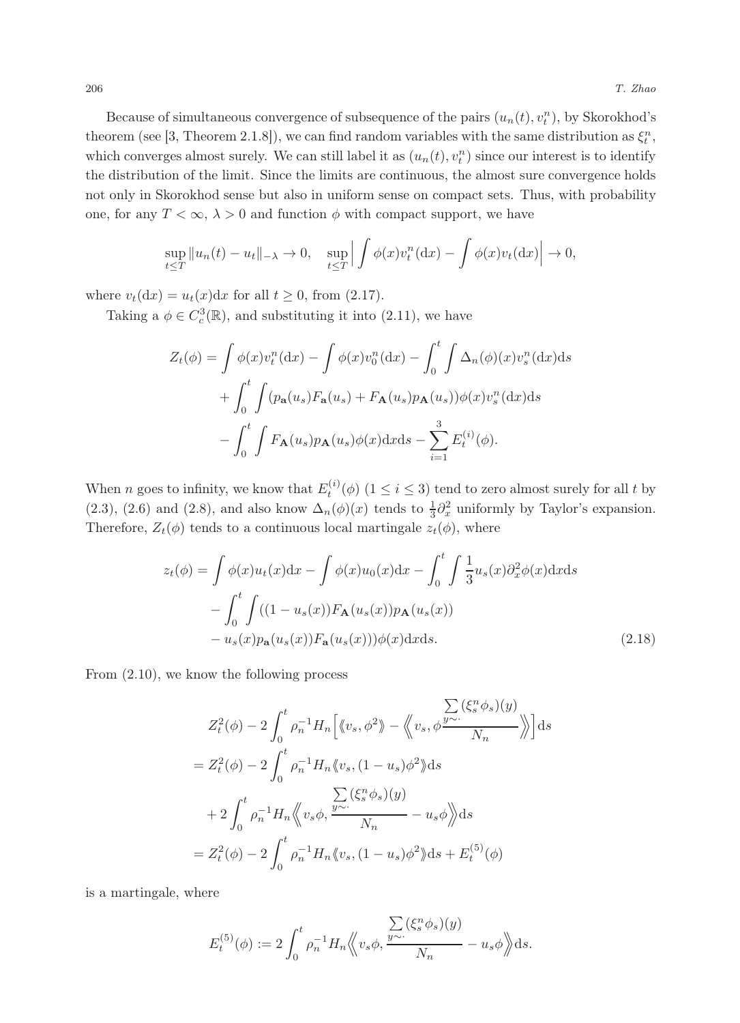Because of simultaneous convergence of subsequence of the pairs  $(u_n(t), v_t^n)$ , by Skorokhod's theorem (see [3, Theorem 2.1.8]), we can find random variables with the same distribution as  $\xi_t^n$ , which converges almost surely. We can still label it as  $(u_n(t), v_t^n)$  since our interest is to identify the distribution of the limit. Since the limits are continuous, the almost sure convergence holds not only in Skorokhod sense but also in uniform sense on compact sets. Thus, with probability one, for any  $T < \infty$ ,  $\lambda > 0$  and function  $\phi$  with compact support, we have

$$
\sup_{t\leq T} \|u_n(t) - u_t\|_{-\lambda} \to 0, \quad \sup_{t\leq T} \left| \int \phi(x) v_t^n(\mathrm{d}x) - \int \phi(x) v_t(\mathrm{d}x) \right| \to 0,
$$

where  $v_t(\mathrm{d}x) = u_t(x)\mathrm{d}x$  for all  $t \geq 0$ , from (2.17).

Taking a  $\phi \in C_c^3(\mathbb{R})$ , and substituting it into (2.11), we have

$$
Z_t(\phi) = \int \phi(x)v_t^n(\mathrm{d}x) - \int \phi(x)v_0^n(\mathrm{d}x) - \int_0^t \int \Delta_n(\phi)(x)v_s^n(\mathrm{d}x)\mathrm{d}s
$$

$$
+ \int_0^t \int (p_\mathbf{a}(u_s)F_\mathbf{a}(u_s) + F_\mathbf{A}(u_s)p_\mathbf{A}(u_s))\phi(x)v_s^n(\mathrm{d}x)\mathrm{d}s
$$

$$
- \int_0^t \int F_\mathbf{A}(u_s)p_\mathbf{A}(u_s)\phi(x)\mathrm{d}x\mathrm{d}s - \sum_{i=1}^3 E_t^{(i)}(\phi).
$$

When *n* goes to infinity, we know that  $E_t^{(i)}(\phi)$   $(1 \le i \le 3)$  tend to zero almost surely for all *t* by (2.3), (2.6) and (2.8), and also know  $\Delta_n(\phi)(x)$  tends to  $\frac{1}{3}\partial_x^2$  uniformly by Taylor's expansion. Therefore,  $Z_t(\phi)$  tends to a continuous local martingale  $z_t(\phi)$ , where

$$
z_t(\phi) = \int \phi(x)u_t(x)dx - \int \phi(x)u_0(x)dx - \int_0^t \int \frac{1}{3}u_s(x)\partial_x^2\phi(x)dxds
$$

$$
- \int_0^t \int ((1 - u_s(x))F_{\mathbf{A}}(u_s(x))p_{\mathbf{A}}(u_s(x))
$$

$$
- u_s(x)p_{\mathbf{a}}(u_s(x))F_{\mathbf{a}}(u_s(x)))\phi(x)dxds.
$$
 (2.18)

From (2.10), we know the following process

$$
Z_t^2(\phi) - 2 \int_0^t \rho_n^{-1} H_n \Big[ \langle v_s, \phi^2 \rangle \Big] - \langle v_s, \phi \frac{\sum (\xi_s^n \phi_s)(y)}{N_n} \rangle \Big] ds
$$
  
=  $Z_t^2(\phi) - 2 \int_0^t \rho_n^{-1} H_n \langle v_s, (1 - u_s) \phi^2 \rangle ds$   
+  $2 \int_0^t \rho_n^{-1} H_n \langle v_s \phi, \frac{\sum (\xi_s^n \phi_s)(y)}{N_n} - u_s \phi \rangle ds$   
=  $Z_t^2(\phi) - 2 \int_0^t \rho_n^{-1} H_n \langle v_s, (1 - u_s) \phi^2 \rangle ds + E_t^{(5)}(\phi)$ 

is a martingale, where

$$
E_t^{(5)}(\phi) := 2 \int_0^t \rho_n^{-1} H_n \langle\!\langle v_s \phi, \frac{\sum\limits_{y \sim \cdot} (\xi_s^n \phi_s)(y)}{N_n} - u_s \phi \rangle\!\rangle \mathrm{d}s.
$$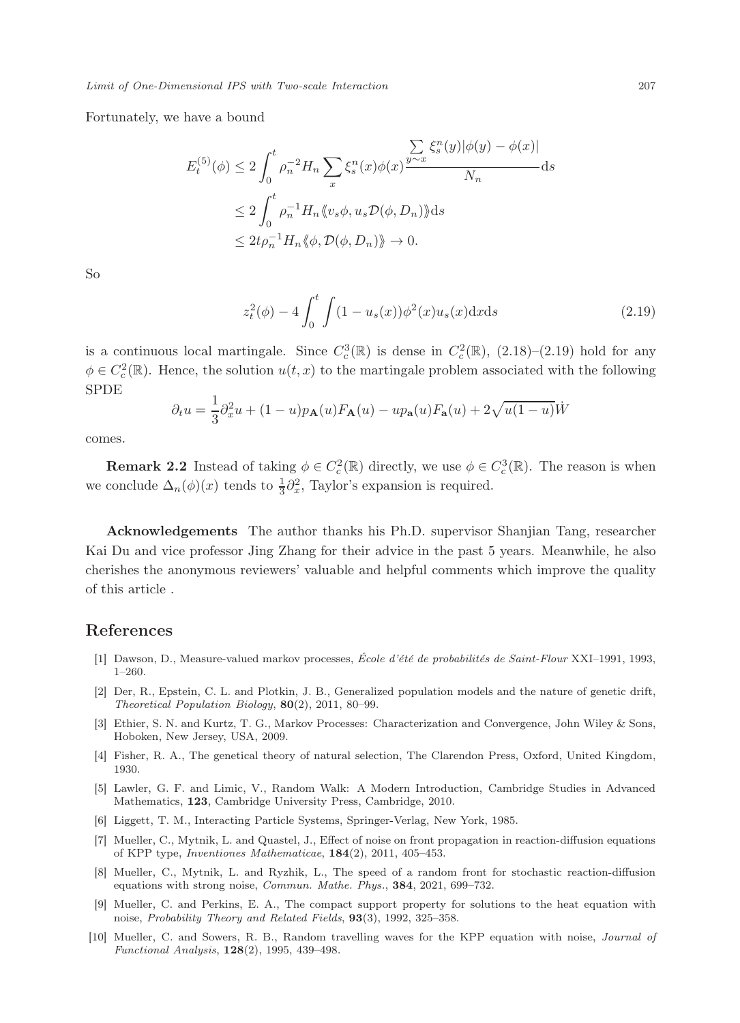Limit of One-Dimensional IPS with Two-scale Interaction 207

Fortunately, we have a bound

$$
E_t^{(5)}(\phi) \le 2 \int_0^t \rho_n^{-2} H_n \sum_x \xi_s^n(x) \phi(x) \frac{\sum\limits_{y \sim x} \xi_s^n(y) |\phi(y) - \phi(x)|}{N_n} ds
$$
  

$$
\le 2 \int_0^t \rho_n^{-1} H_n \langle v_s \phi, u_s \mathcal{D}(\phi, D_n) \rangle ds
$$
  

$$
\le 2t \rho_n^{-1} H_n \langle \phi, \mathcal{D}(\phi, D_n) \rangle \to 0.
$$

So

$$
z_t^2(\phi) - 4 \int_0^t \int (1 - u_s(x)) \phi^2(x) u_s(x) dx ds \tag{2.19}
$$

is a continuous local martingale. Since  $C_c^3(\mathbb{R})$  is dense in  $C_c^2(\mathbb{R})$ ,  $(2.18)$ – $(2.19)$  hold for any  $\phi \in C_c^2(\mathbb{R})$ . Hence, the solution  $u(t, x)$  to the martingale problem associated with the following SPDE

$$
\partial_t u = \frac{1}{3}\partial_x^2 u + (1-u)p_{\mathbf{A}}(u)F_{\mathbf{A}}(u) - up_{\mathbf{a}}(u)F_{\mathbf{a}}(u) + 2\sqrt{u(1-u)}\dot{W}
$$

comes.

**Remark 2.2** Instead of taking  $\phi \in C_c^2(\mathbb{R})$  directly, we use  $\phi \in C_c^3(\mathbb{R})$ . The reason is when we conclude  $\Delta_n(\phi)(x)$  tends to  $\frac{1}{3}\partial_x^2$ , Taylor's expansion is required.

Acknowledgements The author thanks his Ph.D. supervisor Shanjian Tang, researcher Kai Du and vice professor Jing Zhang for their advice in the past 5 years. Meanwhile, he also cherishes the anonymous reviewers' valuable and helpful comments which improve the quality of this article .

# References

- [1] Dawson, D., Measure-valued markov processes, École d'été de probabilités de Saint-Flour XXI–1991, 1993, 1–260.
- [2] Der, R., Epstein, C. L. and Plotkin, J. B., Generalized population models and the nature of genetic drift, Theoretical Population Biology, 80(2), 2011, 80–99.
- [3] Ethier, S. N. and Kurtz, T. G., Markov Processes: Characterization and Convergence, John Wiley & Sons, Hoboken, New Jersey, USA, 2009.
- [4] Fisher, R. A., The genetical theory of natural selection, The Clarendon Press, Oxford, United Kingdom, 1930.
- [5] Lawler, G. F. and Limic, V., Random Walk: A Modern Introduction, Cambridge Studies in Advanced Mathematics, 123, Cambridge University Press, Cambridge, 2010.
- [6] Liggett, T. M., Interacting Particle Systems, Springer-Verlag, New York, 1985.
- [7] Mueller, C., Mytnik, L. and Quastel, J., Effect of noise on front propagation in reaction-diffusion equations of KPP type, Inventiones Mathematicae, 184(2), 2011, 405–453.
- [8] Mueller, C., Mytnik, L. and Ryzhik, L., The speed of a random front for stochastic reaction-diffusion equations with strong noise, Commun. Mathe. Phys., 384, 2021, 699–732.
- [9] Mueller, C. and Perkins, E. A., The compact support property for solutions to the heat equation with noise, Probability Theory and Related Fields, 93(3), 1992, 325–358.
- [10] Mueller, C. and Sowers, R. B., Random travelling waves for the KPP equation with noise, Journal of Functional Analysis, 128(2), 1995, 439–498.